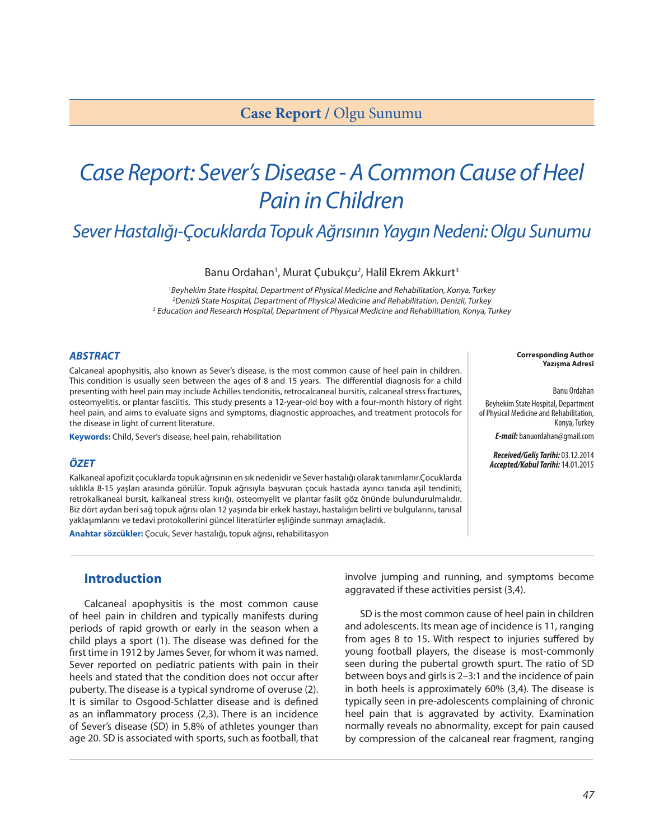# *Case Report: Sever's Disease - A Common Cause of Heel Pain in Children*

# *Sever Hastalığı-Çocuklarda Topuk Ağrısının Yaygın Nedeni: Olgu Sunumu*

Banu Ordahan<sup>1</sup>, Murat Çubukçu<sup>2</sup>, Halil Ekrem Akkurt<sup>3</sup>

<sup>1</sup>Beyhekim State Hospital, Department of Physical Medicine and Rehabilitation, Konya, Turkey <sup>2</sup>Denizli State Hospital, Department of Physical Medicine and Rehabilitation, Denizli, Turkey <sup>3</sup> Education and Research Hospital, Department of Physical Medicine and Rehabilitation, Konya, Turkey

#### *ABSTRACT*

Calcaneal apophysitis, also known as Sever's disease, is the most common cause of heel pain in children. This condition is usually seen between the ages of 8 and 15 years. The differential diagnosis for a child presenting with heel pain may include Achilles tendonitis, retrocalcaneal bursitis, calcaneal stress fractures, osteomyelitis, or plantar fasciitis. This study presents a 12-year-old boy with a four-month history of right heel pain, and aims to evaluate signs and symptoms, diagnostic approaches, and treatment protocols for the disease in light of current literature.

**Keywords:** Child, Sever's disease, heel pain, rehabilitation

#### *ÖZET*

Kalkaneal apofizit çocuklarda topuk ağrısının en sık nedenidir ve Sever hastalığı olarak tanımlanır.Çocuklarda sıklıkla 8-15 yaşları arasında görülür. Topuk ağrısıyla başvuran çocuk hastada ayırıcı tanıda aşil tendiniti, retrokalkaneal bursit, kalkaneal stress kırığı, osteomyelit ve plantar fasiit göz önünde bulundurulmalıdır. Biz dört aydan beri sağ topuk ağrısı olan 12 yaşında bir erkek hastayı, hastalığın belirti ve bulgularını, tanısal yaklaşımlarını ve tedavi protokollerini güncel literatürler eşliğinde sunmayı amaçladık.

**Anahtar sözcükler:** Çocuk, Sever hastalığı, topuk ağrısı, rehabilitasyon

### **Introduction**

Calcaneal apophysitis is the most common cause of heel pain in children and typically manifests during periods of rapid growth or early in the season when a child plays a sport (1). The disease was defined for the first time in 1912 by James Sever, for whom it was named. Sever reported on pediatric patients with pain in their heels and stated that the condition does not occur after puberty. The disease is a typical syndrome of overuse (2). It is similar to Osgood-Schlatter disease and is defined as an inflammatory process (2,3). There is an incidence of Sever's disease (SD) in 5.8% of athletes younger than age 20. SD is associated with sports, such as football, that involve jumping and running, and symptoms become aggravated if these activities persist (3,4).

SD is the most common cause of heel pain in children and adolescents. Its mean age of incidence is 11, ranging from ages 8 to 15. With respect to injuries suffered by young football players, the disease is most-commonly seen during the pubertal growth spurt. The ratio of SD between boys and girls is 2–3:1 and the incidence of pain in both heels is approximately 60% (3,4). The disease is typically seen in pre-adolescents complaining of chronic heel pain that is aggravated by activity. Examination normally reveals no abnormality, except for pain caused by compression of the calcaneal rear fragment, ranging

Banu Ordahan

Beyhekim State Hospital, Department of Physical Medicine and Rehabilitation, Konya, Turkey

*E-mail:* banuordahan@gmail.com

*Received/Geliş Tarihi:* 03.12.2014 *Accepted/Kabul Tarihi:* 14.01.2015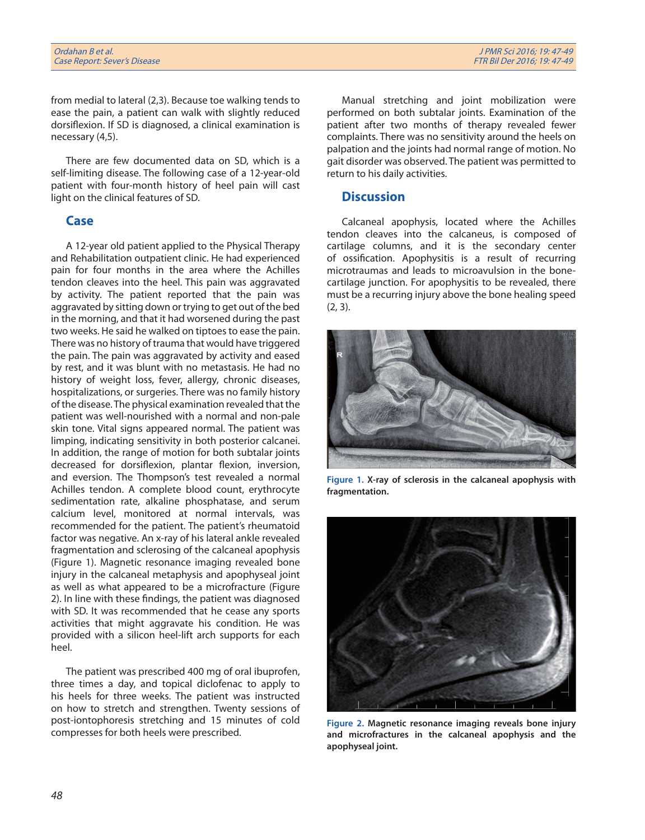from medial to lateral (2,3). Because toe walking tends to ease the pain, a patient can walk with slightly reduced dorsiflexion. If SD is diagnosed, a clinical examination is necessary (4,5).

There are few documented data on SD, which is a self-limiting disease. The following case of a 12-year-old patient with four-month history of heel pain will cast light on the clinical features of SD.

#### **Case**

A 12-year old patient applied to the Physical Therapy and Rehabilitation outpatient clinic. He had experienced pain for four months in the area where the Achilles tendon cleaves into the heel. This pain was aggravated by activity. The patient reported that the pain was aggravated by sitting down or trying to get out of the bed in the morning, and that it had worsened during the past two weeks. He said he walked on tiptoes to ease the pain. There was no history of trauma that would have triggered the pain. The pain was aggravated by activity and eased by rest, and it was blunt with no metastasis. He had no history of weight loss, fever, allergy, chronic diseases, hospitalizations, or surgeries. There was no family history of the disease. The physical examination revealed that the patient was well-nourished with a normal and non-pale skin tone. Vital signs appeared normal. The patient was limping, indicating sensitivity in both posterior calcanei. In addition, the range of motion for both subtalar joints decreased for dorsiflexion, plantar flexion, inversion, and eversion. The Thompson's test revealed a normal Achilles tendon. A complete blood count, erythrocyte sedimentation rate, alkaline phosphatase, and serum calcium level, monitored at normal intervals, was recommended for the patient. The patient's rheumatoid factor was negative. An x-ray of his lateral ankle revealed fragmentation and sclerosing of the calcaneal apophysis (Figure 1). Magnetic resonance imaging revealed bone injury in the calcaneal metaphysis and apophyseal joint as well as what appeared to be a microfracture (Figure 2). In line with these findings, the patient was diagnosed with SD. It was recommended that he cease any sports activities that might aggravate his condition. He was provided with a silicon heel-lift arch supports for each heel.

The patient was prescribed 400 mg of oral ibuprofen, three times a day, and topical diclofenac to apply to his heels for three weeks. The patient was instructed on how to stretch and strengthen. Twenty sessions of post-iontophoresis stretching and 15 minutes of cold compresses for both heels were prescribed.

Manual stretching and joint mobilization were performed on both subtalar joints. Examination of the patient after two months of therapy revealed fewer complaints. There was no sensitivity around the heels on palpation and the joints had normal range of motion. No gait disorder was observed. The patient was permitted to return to his daily activities.

## **Discussion**

Calcaneal apophysis, located where the Achilles tendon cleaves into the calcaneus, is composed of cartilage columns, and it is the secondary center of ossification. Apophysitis is a result of recurring microtraumas and leads to microavulsion in the bonecartilage junction. For apophysitis to be revealed, there must be a recurring injury above the bone healing speed (2, 3).



**Figure 1. X-ray of sclerosis in the calcaneal apophysis with fragmentation.**



**Figure 2. Magnetic resonance imaging reveals bone injury and microfractures in the calcaneal apophysis and the apophyseal joint.**